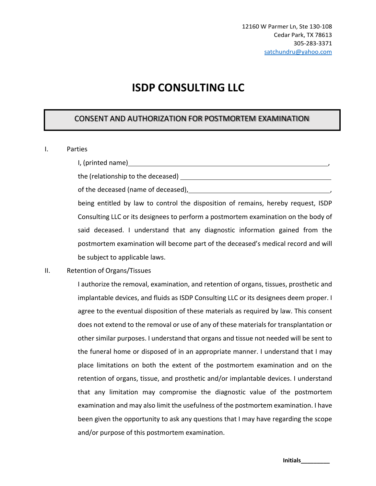# **ISDP CONSULTING LLC**

### CONSENT AND AUTHORIZATION FOR POSTMORTEM EXAMINATION

#### I. Parties

I, (printed name) , and the state of the state of the state of the state of the state of the state of the state of the state of the state of the state of the state of the state of the state of the state of the state of the

the (relationship to the deceased)

of the deceased (name of deceased), ,

being entitled by law to control the disposition of remains, hereby request, ISDP Consulting LLC or its designees to perform a postmortem examination on the body of said deceased. I understand that any diagnostic information gained from the postmortem examination will become part of the deceased's medical record and will be subject to applicable laws.

#### II. Retention of Organs/Tissues

I authorize the removal, examination, and retention of organs, tissues, prosthetic and implantable devices, and fluids as ISDP Consulting LLC or its designees deem proper. I agree to the eventual disposition of these materials as required by law. This consent does not extend to the removal or use of any of these materials for transplantation or other similar purposes. I understand that organs and tissue not needed will be sent to the funeral home or disposed of in an appropriate manner. I understand that I may place limitations on both the extent of the postmortem examination and on the retention of organs, tissue, and prosthetic and/or implantable devices. I understand that any limitation may compromise the diagnostic value of the postmortem examination and may also limit the usefulness of the postmortem examination. I have been given the opportunity to ask any questions that I may have regarding the scope and/or purpose of this postmortem examination.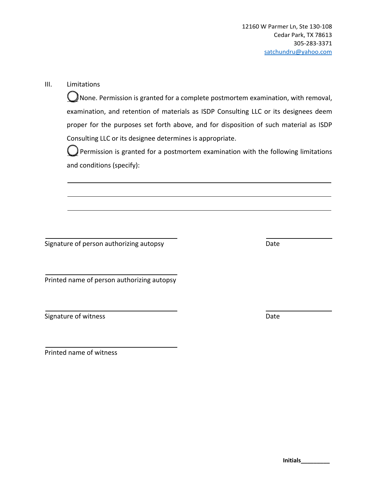### III. Limitations

 $\bigcup$  None. Permission is granted for a complete postmortem examination, with removal, examination, and retention of materials as ISDP Consulting LLC or its designees deem proper for the purposes set forth above, and for disposition of such material as ISDP Consulting LLC or its designee determines is appropriate.

 $\bigcup$  Permission is granted for a postmortem examination with the following limitations and conditions (specify):

Signature of person authorizing autopsy Date Date

Printed name of person authorizing autopsy

Signature of witness **Date** 

Printed name of witness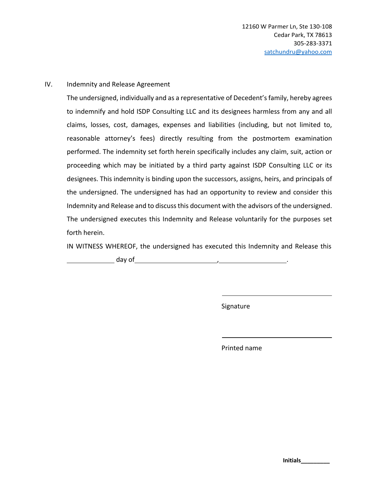#### IV. Indemnity and Release Agreement

The undersigned, individually and as a representative of Decedent's family, hereby agrees to indemnify and hold ISDP Consulting LLC and its designees harmless from any and all claims, losses, cost, damages, expenses and liabilities (including, but not limited to, reasonable attorney's fees) directly resulting from the postmortem examination performed. The indemnity set forth herein specifically includes any claim, suit, action or proceeding which may be initiated by a third party against ISDP Consulting LLC or its designees. This indemnity is binding upon the successors, assigns, heirs, and principals of the undersigned. The undersigned has had an opportunity to review and consider this Indemnity and Release and to discuss this document with the advisors of the undersigned. The undersigned executes this Indemnity and Release voluntarily for the purposes set forth herein.

IN WITNESS WHEREOF, the undersigned has executed this Indemnity and Release this

day of , .

Signature

Printed name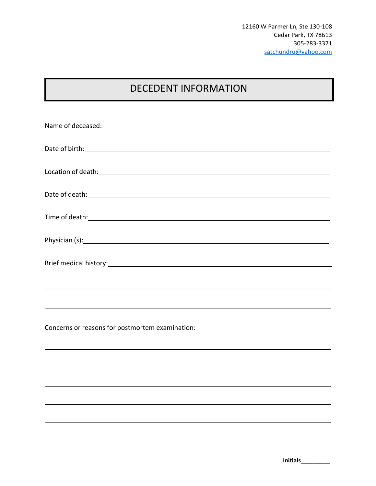# DECEDENT INFORMATION

| ,我们也不会有什么。""我们的人,我们也不会有什么?""我们的人,我们也不会有什么?""我们的人,我们也不会有什么?""我们的人,我们也不会有什么?""我们的人 |  |  |  |  |  |  |
|----------------------------------------------------------------------------------|--|--|--|--|--|--|
|                                                                                  |  |  |  |  |  |  |
|                                                                                  |  |  |  |  |  |  |
| ,我们也不会有什么。""我们的人,我们也不会有什么?""我们的人,我们也不会有什么?""我们的人,我们也不会有什么?""我们的人,我们也不会有什么?""我们的人 |  |  |  |  |  |  |
|                                                                                  |  |  |  |  |  |  |
|                                                                                  |  |  |  |  |  |  |
|                                                                                  |  |  |  |  |  |  |
|                                                                                  |  |  |  |  |  |  |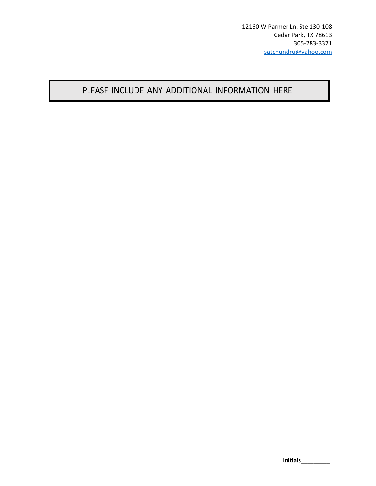## PLEASE INCLUDE ANY ADDITIONAL INFORMATION HERE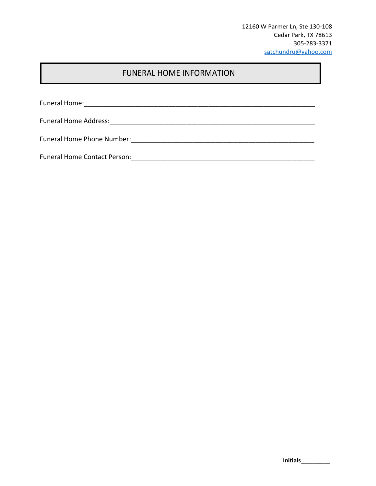12160 W Parmer Ln, Ste 130-108 Cedar Park, TX 78613 305-283-3371 satchundru@yahoo.com

## FUNERAL HOME INFORMATION

Funeral Home:\_\_\_\_\_\_\_\_\_\_\_\_\_\_\_\_\_\_\_\_\_\_\_\_\_\_\_\_\_\_\_\_\_\_\_\_\_\_\_\_\_\_\_\_\_\_\_\_\_\_\_\_\_\_\_\_\_\_\_\_\_\_\_

Funeral Home Address:\_\_\_\_\_\_\_\_\_\_\_\_\_\_\_\_\_\_\_\_\_\_\_\_\_\_\_\_\_\_\_\_\_\_\_\_\_\_\_\_\_\_\_\_\_\_\_\_\_\_\_\_\_\_\_\_

Funeral Home Phone Number:\_\_\_\_\_\_\_\_\_\_\_\_\_\_\_\_\_\_\_\_\_\_\_\_\_\_\_\_\_\_\_\_\_\_\_\_\_\_\_\_\_\_\_\_\_\_\_\_\_\_

Funeral Home Contact Person:\_\_\_\_\_\_\_\_\_\_\_\_\_\_\_\_\_\_\_\_\_\_\_\_\_\_\_\_\_\_\_\_\_\_\_\_\_\_\_\_\_\_\_\_\_\_\_\_\_\_

| Initials |  |  |  |  |  |
|----------|--|--|--|--|--|
|          |  |  |  |  |  |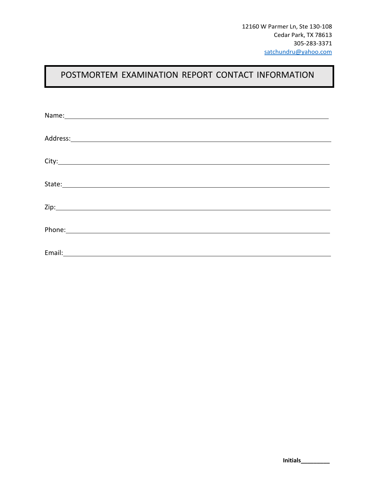## POSTMORTEM EXAMINATION REPORT CONTACT INFORMATION

| Name: Name and the second state of the second state of the second state of the second state of the second state of the second state of the second state of the second state of the second state of the second state of the sec |  |
|--------------------------------------------------------------------------------------------------------------------------------------------------------------------------------------------------------------------------------|--|
|                                                                                                                                                                                                                                |  |
|                                                                                                                                                                                                                                |  |
|                                                                                                                                                                                                                                |  |
|                                                                                                                                                                                                                                |  |
| Phone: Note: 2008 and 2008 and 2008 and 2008 and 2008 and 2008 and 2008 and 2008 and 2008 and 2008 and 2008 and 2008 and 2008 and 2008 and 2008 and 2008 and 2008 and 2008 and 2008 and 2008 and 2008 and 2008 and 2008 and 20 |  |
|                                                                                                                                                                                                                                |  |